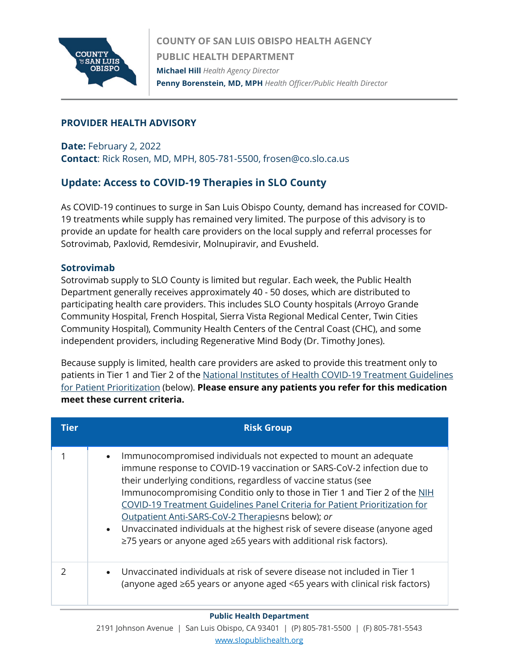

# **PROVIDER HEALTH ADVISORY**

**Date:** February 2, 2022 **Contact**: Rick Rosen, MD, MPH, 805-781-5500, frosen@co.slo.ca.us

# **Update: Access to COVID-19 Therapies in SLO County**

As COVID-19 continues to surge in San Luis Obispo County, demand has increased for COVID-19 treatments while supply has remained very limited. The purpose of this advisory is to provide an update for health care providers on the local supply and referral processes for Sotrovimab, Paxlovid, Remdesivir, Molnupiravir, and Evusheld.

## **Sotrovimab**

Sotrovimab supply to SLO County is limited but regular. Each week, the Public Health Department generally receives approximately 40 - 50 doses, which are distributed to participating health care providers. This includes SLO County hospitals (Arroyo Grande Community Hospital, French Hospital, Sierra Vista Regional Medical Center, Twin Cities Community Hospital), Community Health Centers of the Central Coast (CHC), and some independent providers, including Regenerative Mind Body (Dr. Timothy Jones).

Because supply is limited, health care providers are asked to provide this treatment only to patients in Tier 1 and Tier 2 of the [National Institutes of Health COVID-19 Treatment Guidelines](https://www.covid19treatmentguidelines.nih.gov/therapies/statement-on-patient-prioritization-for-outpatient-therapies/)  [for Patient Prioritization](https://www.covid19treatmentguidelines.nih.gov/therapies/statement-on-patient-prioritization-for-outpatient-therapies/) (below). **Please ensure any patients you refer for this medication meet these current criteria.**

| Tier | <b>Risk Group</b>                                                                                                                                                                                                                                                                                                                                                                                                                                                                                                                                                                               |
|------|-------------------------------------------------------------------------------------------------------------------------------------------------------------------------------------------------------------------------------------------------------------------------------------------------------------------------------------------------------------------------------------------------------------------------------------------------------------------------------------------------------------------------------------------------------------------------------------------------|
|      | Immunocompromised individuals not expected to mount an adequate<br>$\bullet$<br>immune response to COVID-19 vaccination or SARS-CoV-2 infection due to<br>their underlying conditions, regardless of vaccine status (see<br>Immunocompromising Conditio only to those in Tier 1 and Tier 2 of the NIH<br>COVID-19 Treatment Guidelines Panel Criteria for Patient Prioritization for<br>Outpatient Anti-SARS-CoV-2 Therapiesns below); or<br>• Unvaccinated individuals at the highest risk of severe disease (anyone aged<br>≥75 years or anyone aged ≥65 years with additional risk factors). |
|      | Unvaccinated individuals at risk of severe disease not included in Tier 1<br>$\bullet$<br>(anyone aged $\geq 65$ years or anyone aged <65 years with clinical risk factors)                                                                                                                                                                                                                                                                                                                                                                                                                     |

#### **Public Health Department**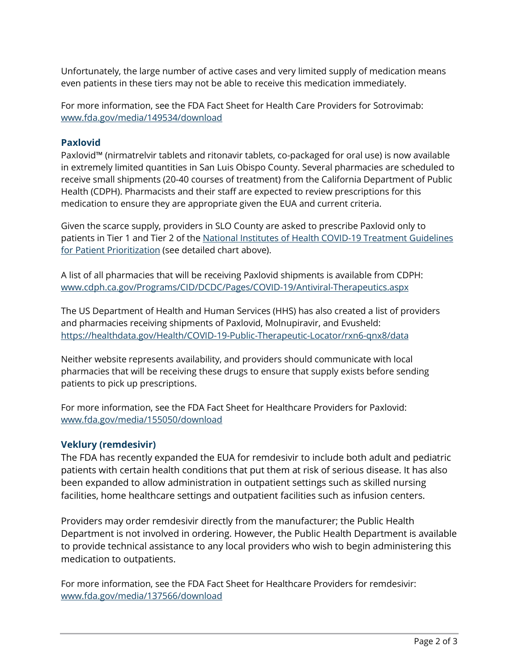Unfortunately, the large number of active cases and very limited supply of medication means even patients in these tiers may not be able to receive this medication immediately.

For more information, see the FDA Fact Sheet for Health Care Providers for Sotrovimab: [www.fda.gov/media/149534/download](http://www.fda.gov/media/149534/download)

#### **Paxlovid**

Paxlovid™ (nirmatrelvir tablets and ritonavir tablets, co-packaged for oral use) is now available in extremely limited quantities in San Luis Obispo County. Several pharmacies are scheduled to receive small shipments (20-40 courses of treatment) from the California Department of Public Health (CDPH). Pharmacists and their staff are expected to review prescriptions for this medication to ensure they are appropriate given the EUA and current criteria.

Given the scarce supply, providers in SLO County are asked to prescribe Paxlovid only to patients in Tier 1 and Tier 2 of the [National Institutes of Health COVID-19 Treatment Guidelines](https://www.covid19treatmentguidelines.nih.gov/therapies/statement-on-patient-prioritization-for-outpatient-therapies/)  [for Patient Prioritization](https://www.covid19treatmentguidelines.nih.gov/therapies/statement-on-patient-prioritization-for-outpatient-therapies/) (see detailed chart above).

A list of all pharmacies that will be receiving Paxlovid shipments is available from CDPH: www.cdph.ca.gov/Programs/CID/DCDC/Pages/COVID-19/Antiviral-Therapeutics.aspx

The US Department of Health and Human Services (HHS) has also created a list of providers and pharmacies receiving shipments of Paxlovid, Molnupiravir, and Evusheld: [https://healthdata.gov/Health/COVID-19-Public-Therapeutic-](https://healthdata.gov/Health/COVID-19-Public-Therapeutic-Locator/rxn6-qnx8/data)Locator/rxn6-qnx8/data

Neither website represents availability, and providers should communicate with local pharmacies that will be receiving these drugs to ensure that supply exists before sending patients to pick up prescriptions.

For more information, see the FDA Fact Sheet for Healthcare Providers for Paxlovid: [www.fda.gov/media/155050/download](http://www.fda.gov/media/155050/download)

#### **Veklury (remdesivir)**

The FDA has recently expanded the EUA for remdesivir to include both adult and pediatric patients with certain health conditions that put them at risk of serious disease. It has also been expanded to allow administration in outpatient settings such as skilled nursing facilities, home healthcare settings and outpatient facilities such as infusion centers.

Providers may order remdesivir directly from the manufacturer; the Public Health Department is not involved in ordering. However, the Public Health Department is available to provide technical assistance to any local providers who wish to begin administering this medication to outpatients.

For more information, see the FDA Fact Sheet for Healthcare Providers for remdesivir: [www.fda.gov/media/137566/download](http://www.fda.gov/media/137566/download)